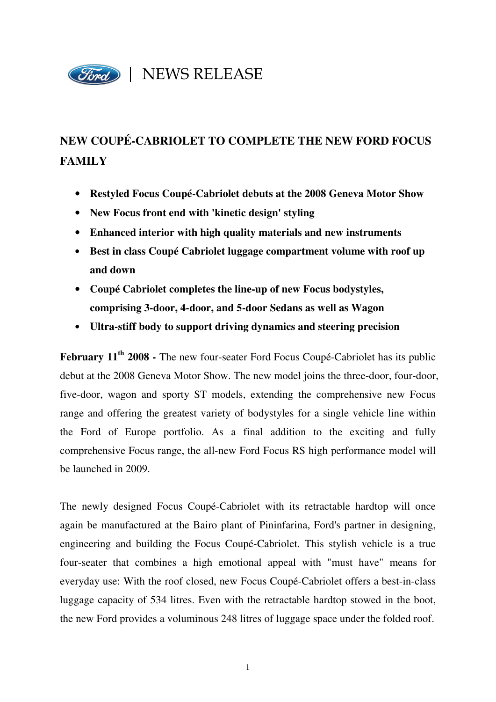

# **NEW COUPÉ-CABRIOLET TO COMPLETE THE NEW FORD FOCUS FAMILY**

- **Restyled Focus Coupé-Cabriolet debuts at the 2008 Geneva Motor Show**
- **New Focus front end with 'kinetic design' styling**
- **Enhanced interior with high quality materials and new instruments**
- **Best in class Coupé Cabriolet luggage compartment volume with roof up and down**
- **Coupé Cabriolet completes the line-up of new Focus bodystyles, comprising 3-door, 4-door, and 5-door Sedans as well as Wagon**
- **Ultra-stiff body to support driving dynamics and steering precision**

**February 11th 2008 -** The new four-seater Ford Focus Coupé-Cabriolet has its public debut at the 2008 Geneva Motor Show. The new model joins the three-door, four-door, five-door, wagon and sporty ST models, extending the comprehensive new Focus range and offering the greatest variety of bodystyles for a single vehicle line within the Ford of Europe portfolio. As a final addition to the exciting and fully comprehensive Focus range, the all-new Ford Focus RS high performance model will be launched in 2009.

The newly designed Focus Coupé-Cabriolet with its retractable hardtop will once again be manufactured at the Bairo plant of Pininfarina, Ford's partner in designing, engineering and building the Focus Coupé-Cabriolet. This stylish vehicle is a true four-seater that combines a high emotional appeal with "must have" means for everyday use: With the roof closed, new Focus Coupé-Cabriolet offers a best-in-class luggage capacity of 534 litres. Even with the retractable hardtop stowed in the boot, the new Ford provides a voluminous 248 litres of luggage space under the folded roof.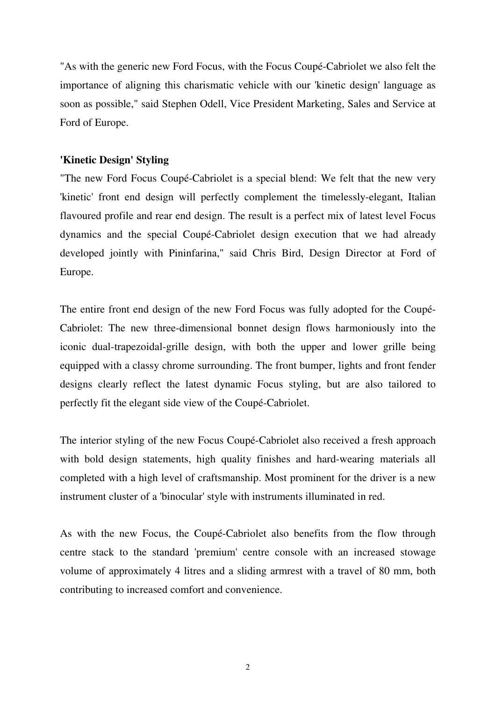"As with the generic new Ford Focus, with the Focus Coupé-Cabriolet we also felt the importance of aligning this charismatic vehicle with our 'kinetic design' language as soon as possible," said Stephen Odell, Vice President Marketing, Sales and Service at Ford of Europe.

### **'Kinetic Design' Styling**

"The new Ford Focus Coupé-Cabriolet is a special blend: We felt that the new very 'kinetic' front end design will perfectly complement the timelessly-elegant, Italian flavoured profile and rear end design. The result is a perfect mix of latest level Focus dynamics and the special Coupé-Cabriolet design execution that we had already developed jointly with Pininfarina," said Chris Bird, Design Director at Ford of Europe.

The entire front end design of the new Ford Focus was fully adopted for the Coupé-Cabriolet: The new three-dimensional bonnet design flows harmoniously into the iconic dual-trapezoidal-grille design, with both the upper and lower grille being equipped with a classy chrome surrounding. The front bumper, lights and front fender designs clearly reflect the latest dynamic Focus styling, but are also tailored to perfectly fit the elegant side view of the Coupé-Cabriolet.

The interior styling of the new Focus Coupé-Cabriolet also received a fresh approach with bold design statements, high quality finishes and hard-wearing materials all completed with a high level of craftsmanship. Most prominent for the driver is a new instrument cluster of a 'binocular' style with instruments illuminated in red.

As with the new Focus, the Coupé-Cabriolet also benefits from the flow through centre stack to the standard 'premium' centre console with an increased stowage volume of approximately 4 litres and a sliding armrest with a travel of 80 mm, both contributing to increased comfort and convenience.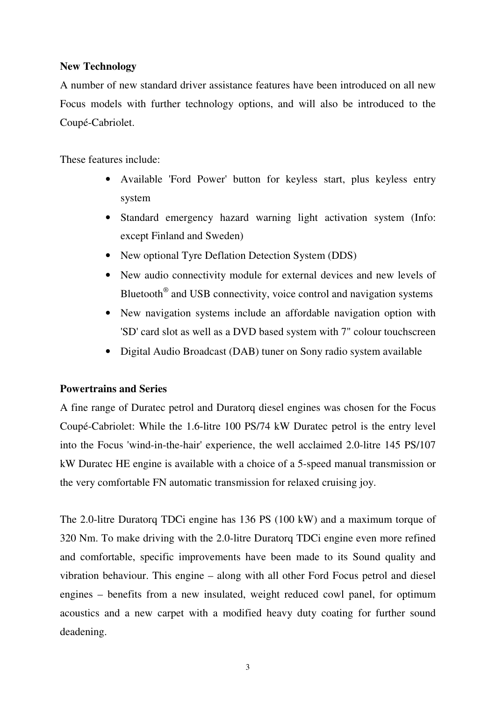### **New Technology**

A number of new standard driver assistance features have been introduced on all new Focus models with further technology options, and will also be introduced to the Coupé-Cabriolet.

These features include:

- Available 'Ford Power' button for keyless start, plus keyless entry system
- Standard emergency hazard warning light activation system (Info: except Finland and Sweden)
- New optional Tyre Deflation Detection System (DDS)
- New audio connectivity module for external devices and new levels of Bluetooth*®* and USB connectivity, voice control and navigation systems
- New navigation systems include an affordable navigation option with 'SD' card slot as well as a DVD based system with 7" colour touchscreen
- Digital Audio Broadcast (DAB) tuner on Sony radio system available

## **Powertrains and Series**

A fine range of Duratec petrol and Duratorq diesel engines was chosen for the Focus Coupé-Cabriolet: While the 1.6-litre 100 PS/74 kW Duratec petrol is the entry level into the Focus 'wind-in-the-hair' experience, the well acclaimed 2.0-litre 145 PS/107 kW Duratec HE engine is available with a choice of a 5-speed manual transmission or the very comfortable FN automatic transmission for relaxed cruising joy.

The 2.0-litre Duratorq TDCi engine has 136 PS (100 kW) and a maximum torque of 320 Nm. To make driving with the 2.0-litre Duratorq TDCi engine even more refined and comfortable, specific improvements have been made to its Sound quality and vibration behaviour. This engine – along with all other Ford Focus petrol and diesel engines – benefits from a new insulated, weight reduced cowl panel, for optimum acoustics and a new carpet with a modified heavy duty coating for further sound deadening.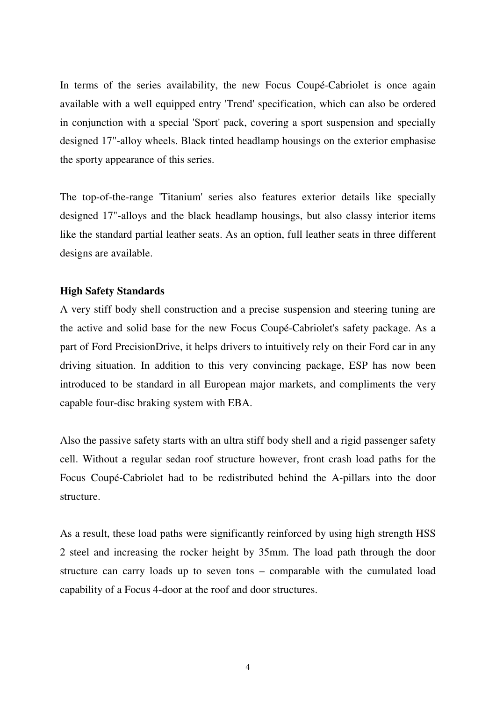In terms of the series availability, the new Focus Coupé-Cabriolet is once again available with a well equipped entry 'Trend' specification, which can also be ordered in conjunction with a special 'Sport' pack, covering a sport suspension and specially designed 17"-alloy wheels. Black tinted headlamp housings on the exterior emphasise the sporty appearance of this series.

The top-of-the-range 'Titanium' series also features exterior details like specially designed 17"-alloys and the black headlamp housings, but also classy interior items like the standard partial leather seats. As an option, full leather seats in three different designs are available.

#### **High Safety Standards**

A very stiff body shell construction and a precise suspension and steering tuning are the active and solid base for the new Focus Coupé-Cabriolet's safety package. As a part of Ford PrecisionDrive, it helps drivers to intuitively rely on their Ford car in any driving situation. In addition to this very convincing package, ESP has now been introduced to be standard in all European major markets, and compliments the very capable four-disc braking system with EBA.

Also the passive safety starts with an ultra stiff body shell and a rigid passenger safety cell. Without a regular sedan roof structure however, front crash load paths for the Focus Coupé-Cabriolet had to be redistributed behind the A-pillars into the door structure.

As a result, these load paths were significantly reinforced by using high strength HSS 2 steel and increasing the rocker height by 35mm. The load path through the door structure can carry loads up to seven tons – comparable with the cumulated load capability of a Focus 4-door at the roof and door structures.